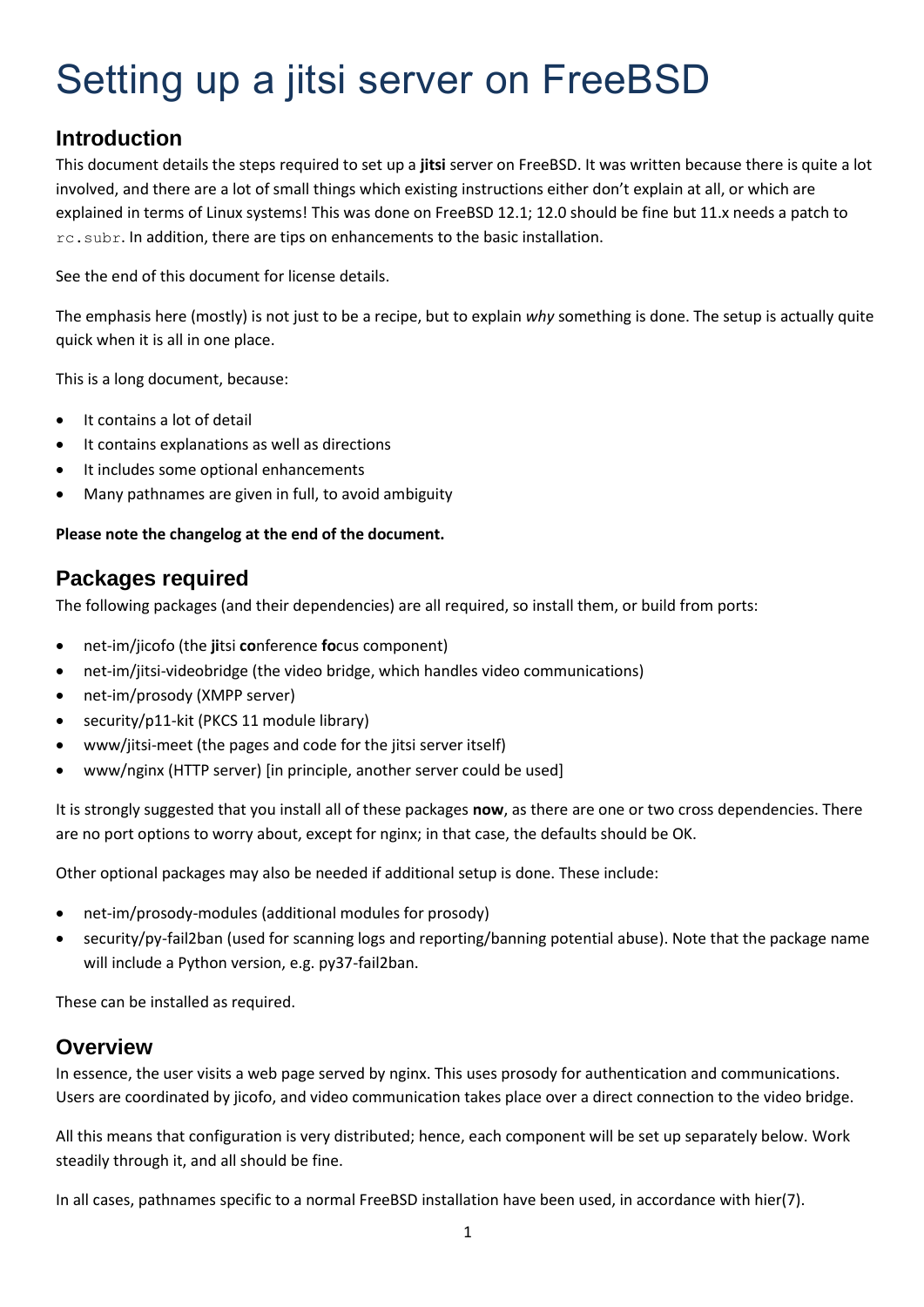# Setting up a jitsi server on FreeBSD

# **Introduction**

This document details the steps required to set up a **jitsi** server on FreeBSD. It was written because there is quite a lot involved, and there are a lot of small things which existing instructions either don't explain at all, or which are explained in terms of Linux systems! This was done on FreeBSD 12.1; 12.0 should be fine but 11.x needs a patch to rc.subr. In addition, there are tips on enhancements to the basic installation.

See the end of this document for license details.

The emphasis here (mostly) is not just to be a recipe, but to explain *why* something is done. The setup is actually quite quick when it is all in one place.

This is a long document, because:

- It contains a lot of detail
- It contains explanations as well as directions
- It includes some optional enhancements
- Many pathnames are given in full, to avoid ambiguity

### **Please note the changelog at the end of the document.**

# **Packages required**

The following packages (and their dependencies) are all required, so install them, or build from ports:

- net-im/jicofo (the **ji**tsi **co**nference **fo**cus component)
- net-im/jitsi-videobridge (the video bridge, which handles video communications)
- net-im/prosody (XMPP server)
- security/p11-kit (PKCS 11 module library)
- www/jitsi-meet (the pages and code for the jitsi server itself)
- www/nginx (HTTP server) [in principle, another server could be used]

It is strongly suggested that you install all of these packages **now**, as there are one or two cross dependencies. There are no port options to worry about, except for nginx; in that case, the defaults should be OK.

Other optional packages may also be needed if additional setup is done. These include:

- net-im/prosody-modules (additional modules for prosody)
- security/py-fail2ban (used for scanning logs and reporting/banning potential abuse). Note that the package name will include a Python version, e.g. py37-fail2ban.

These can be installed as required.

# **Overview**

In essence, the user visits a web page served by nginx. This uses prosody for authentication and communications. Users are coordinated by jicofo, and video communication takes place over a direct connection to the video bridge.

All this means that configuration is very distributed; hence, each component will be set up separately below. Work steadily through it, and all should be fine.

In all cases, pathnames specific to a normal FreeBSD installation have been used, in accordance with hier(7).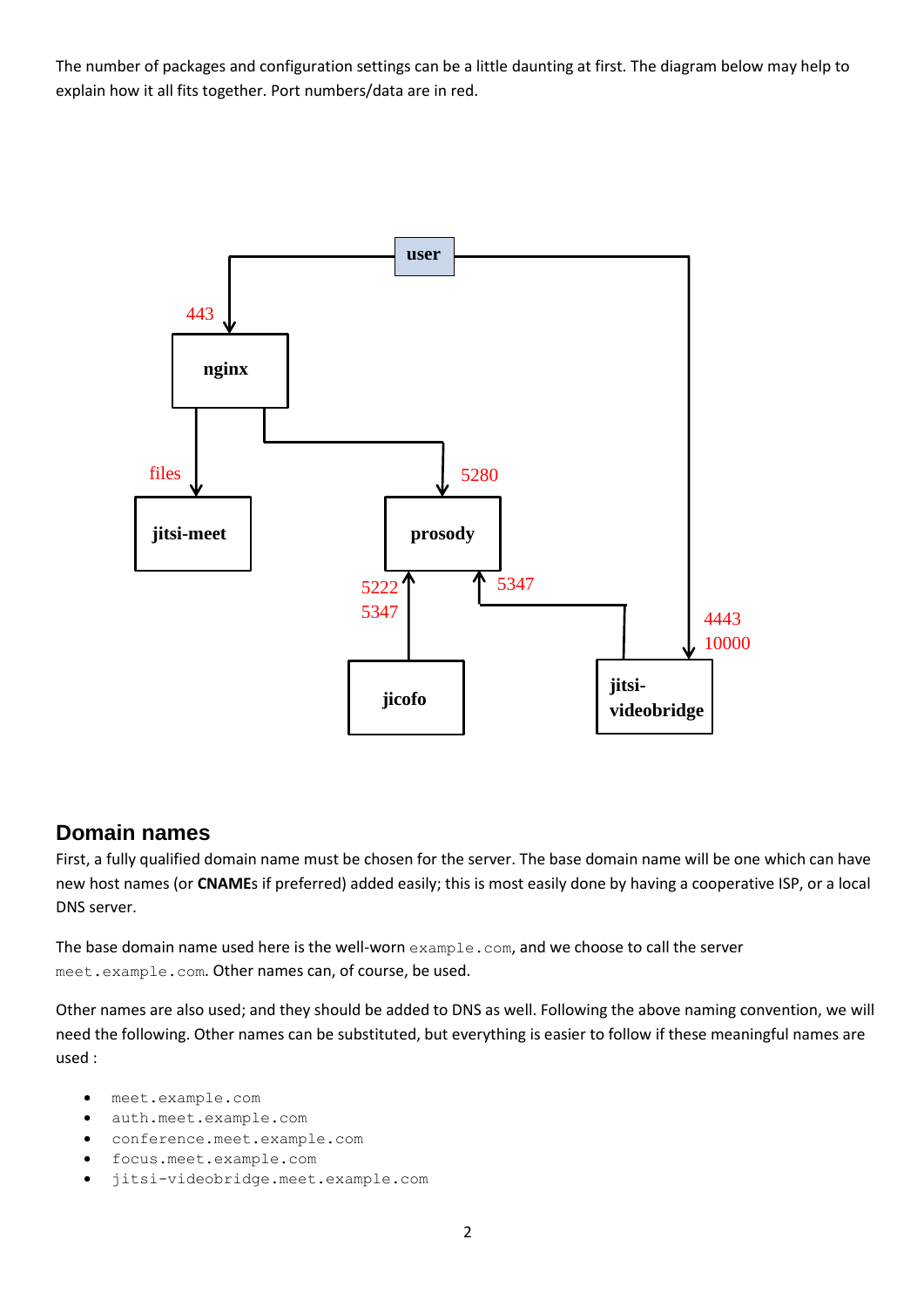The number of packages and configuration settings can be a little daunting at first. The diagram below may help to explain how it all fits together. Port numbers/data are in red.



# **Domain names**

First, a fully qualified domain name must be chosen for the server. The base domain name will be one which can have new host names (or **CNAME**s if preferred) added easily; this is most easily done by having a cooperative ISP, or a local DNS server.

The base domain name used here is the well-worn  $\alpha$  and  $\alpha$  com, and we choose to call the server meet.example.com. Other names can, of course, be used.

Other names are also used; and they should be added to DNS as well. Following the above naming convention, we will need the following. Other names can be substituted, but everything is easier to follow if these meaningful names are used :

- meet.example.com
- auth.meet.example.com
- conference.meet.example.com
- focus.meet.example.com
- jitsi-videobridge.meet.example.com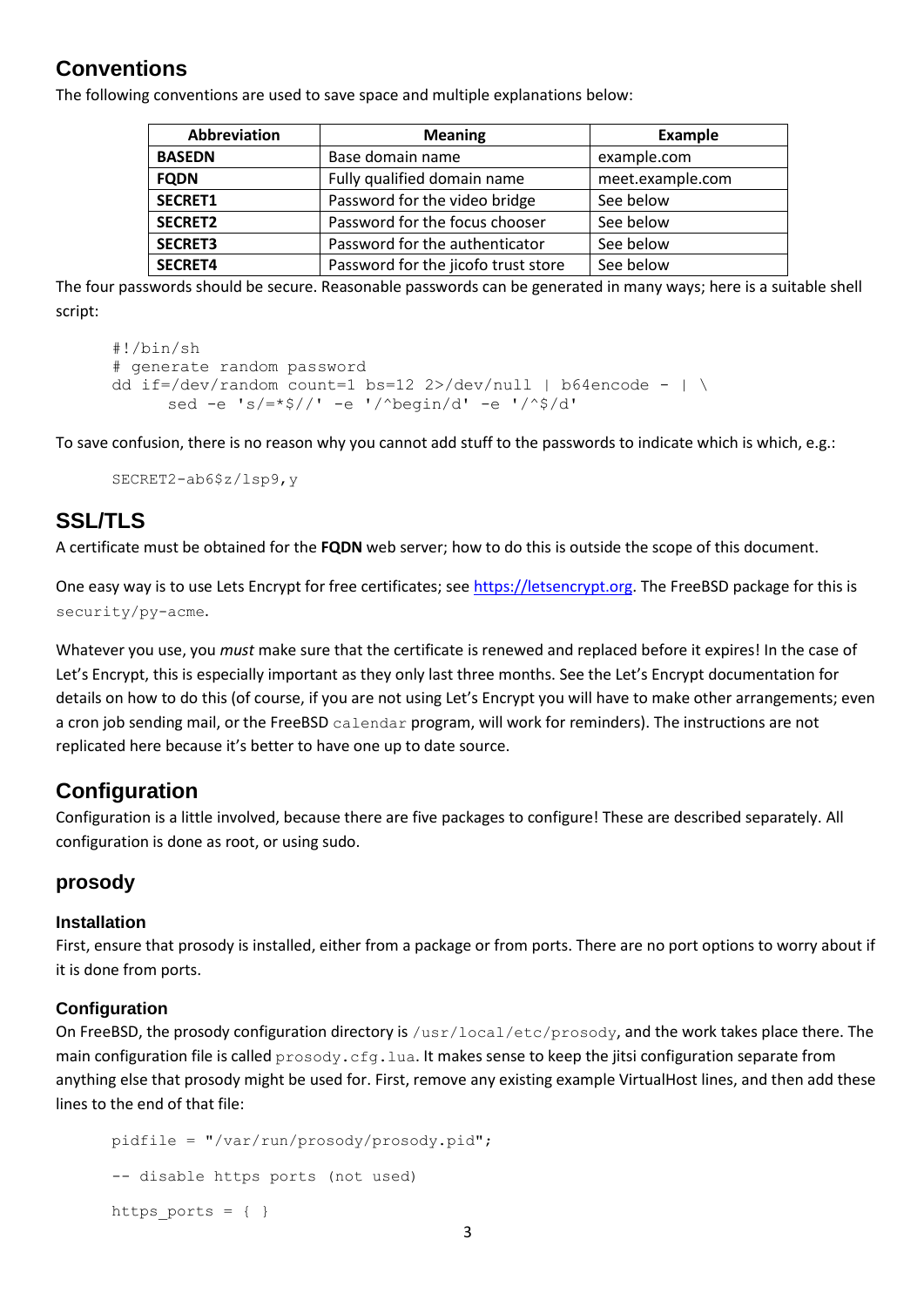# **Conventions**

The following conventions are used to save space and multiple explanations below:

| Abbreviation   | <b>Meaning</b>                      | <b>Example</b>   |
|----------------|-------------------------------------|------------------|
| <b>BASEDN</b>  | Base domain name                    | example.com      |
| <b>FQDN</b>    | Fully qualified domain name         | meet.example.com |
| SECRET1        | Password for the video bridge       | See below        |
| <b>SECRET2</b> | Password for the focus chooser      | See below        |
| <b>SECRET3</b> | Password for the authenticator      | See below        |
| <b>SECRET4</b> | Password for the jicofo trust store | See below        |

The four passwords should be secure. Reasonable passwords can be generated in many ways; here is a suitable shell script:

```
#!/bin/sh
# generate random password
dd if=/dev/random count=1 bs=12 2>/dev/null | b64encode - | \
     sed -e 's/=*$//' -e '/^begin/d' -e '/^$/d'
```
To save confusion, there is no reason why you cannot add stuff to the passwords to indicate which is which, e.g.:

```
SECRET2-ab6$z/lsp9,y
```
# **SSL/TLS**

A certificate must be obtained for the **FQDN** web server; how to do this is outside the scope of this document.

One easy way is to use Lets Encrypt for free certificates; see [https://letsencrypt.org.](https://letsencrypt.org/) The FreeBSD package for this is security/py-acme.

Whatever you use, you *must* make sure that the certificate is renewed and replaced before it expires! In the case of Let's Encrypt, this is especially important as they only last three months. See the Let's Encrypt documentation for details on how to do this (of course, if you are not using Let's Encrypt you will have to make other arrangements; even a cron job sending mail, or the FreeBSD calendar program, will work for reminders). The instructions are not replicated here because it's better to have one up to date source.

# **Configuration**

Configuration is a little involved, because there are five packages to configure! These are described separately. All configuration is done as root, or using sudo.

## **prosody**

### **Installation**

First, ensure that prosody is installed, either from a package or from ports. There are no port options to worry about if it is done from ports.

### **Configuration**

On FreeBSD, the prosody configuration directory is /usr/local/etc/prosody, and the work takes place there. The main configuration file is called  $p$ rosody.cfg.lua. It makes sense to keep the jitsi configuration separate from anything else that prosody might be used for. First, remove any existing example VirtualHost lines, and then add these lines to the end of that file:

```
pidfile = "/var/run/prosody/prosody.pid";
-- disable https ports (not used)
https ports = \{ \}
```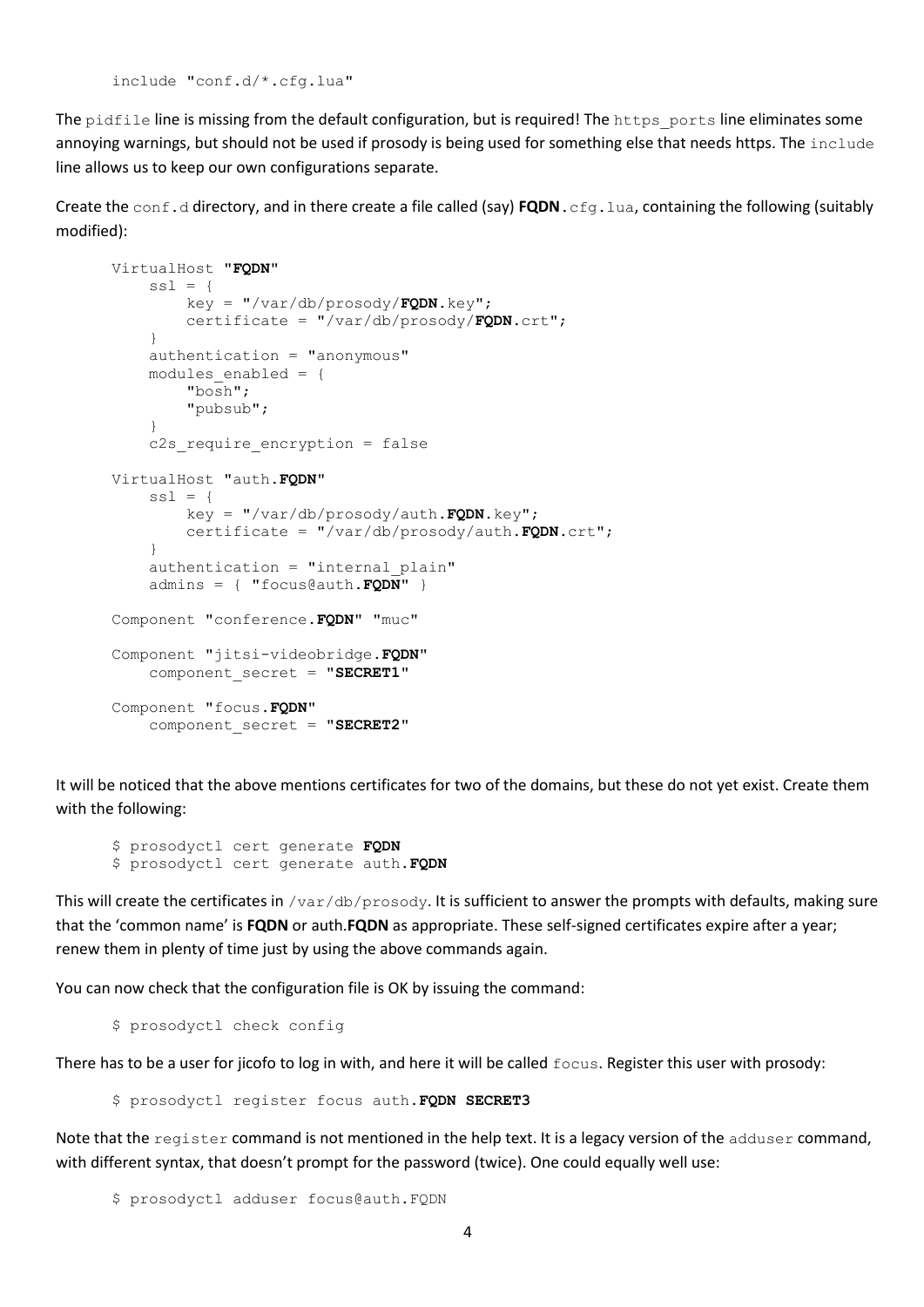include "conf.d/\*.cfg.lua"

The pidfile line is missing from the default configuration, but is required! The https ports line eliminates some annoying warnings, but should not be used if prosody is being used for something else that needs https. The include line allows us to keep our own configurations separate.

Create the conf.d directory, and in there create a file called (say) **FQDN**.cfg.lua, containing the following (suitably modified):

```
VirtualHost "FQDN"
    ssl = {
         key = "/var/db/prosody/FQDN.key";
         certificate = "/var/db/prosody/FQDN.crt";
     }
     authentication = "anonymous"
    modules enabled = {
         "bosh";
         "pubsub";
     }
    c2s require encryption = false
VirtualHost "auth.FQDN"
    ss1 = { key = "/var/db/prosody/auth.FQDN.key";
         certificate = "/var/db/prosody/auth.FQDN.crt";
     }
     authentication = "internal_plain"
    admins = \{ "focus@auth.FQDN" }
Component "conference.FQDN" "muc"
Component "jitsi-videobridge.FQDN"
    component secret = "SECRET1"
Component "focus.FQDN"
     component_secret = "SECRET2"
```
It will be noticed that the above mentions certificates for two of the domains, but these do not yet exist. Create them with the following:

```
$ prosodyctl cert generate FQDN
$ prosodyctl cert generate auth.FQDN
```
This will create the certificates in /var/db/prosody. It is sufficient to answer the prompts with defaults, making sure that the 'common name' is **FQDN** or auth.**FQDN** as appropriate. These self-signed certificates expire after a year; renew them in plenty of time just by using the above commands again.

You can now check that the configuration file is OK by issuing the command:

\$ prosodyctl check config

There has to be a user for jicofo to log in with, and here it will be called  $f_{\text{OCUS}}$ . Register this user with prosody:

\$ prosodyctl register focus auth.**FQDN SECRET3**

Note that the register command is not mentioned in the help text. It is a legacy version of the adduser command, with different syntax, that doesn't prompt for the password (twice). One could equally well use:

```
$ prosodyctl adduser focus@auth.FQDN
```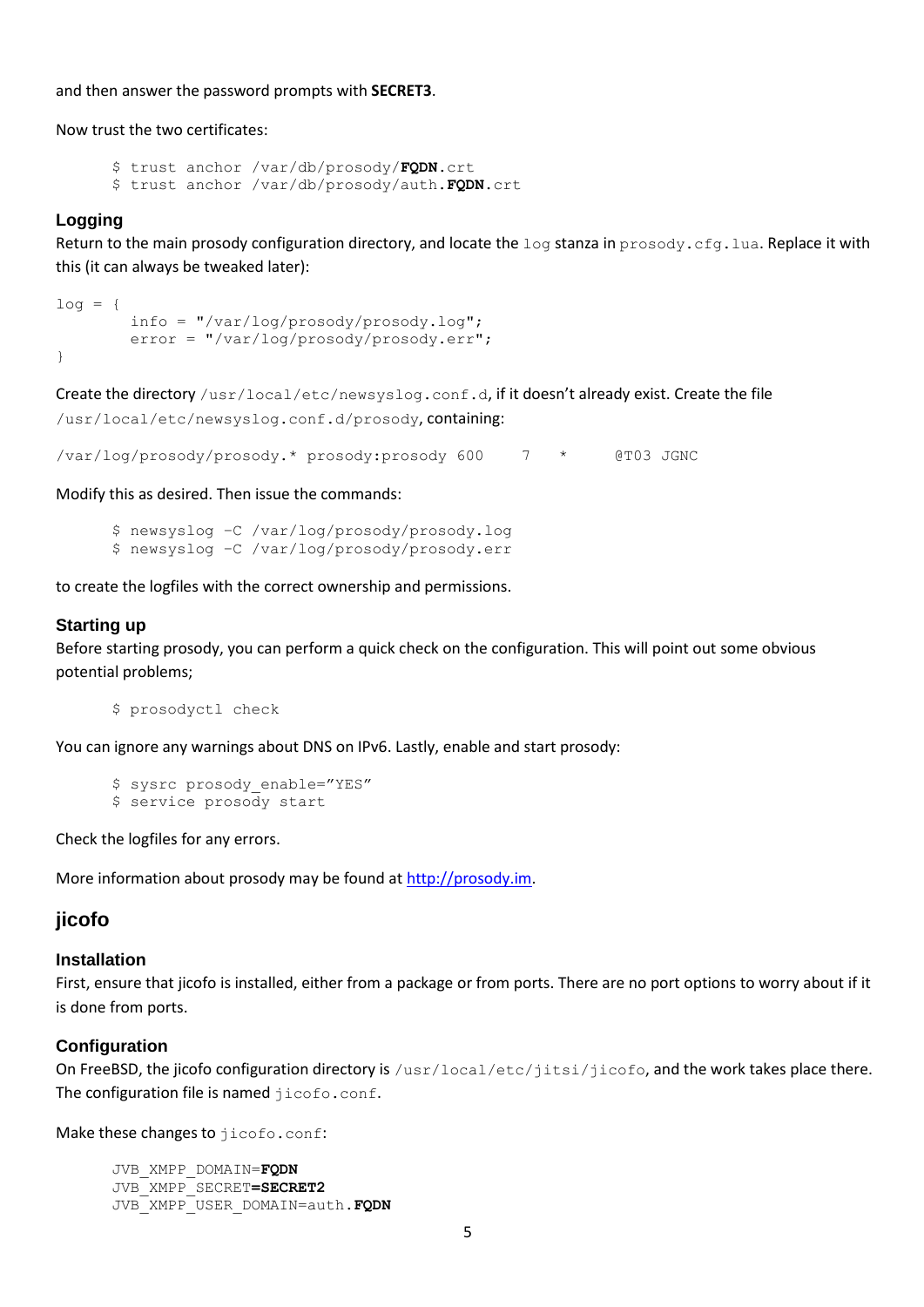and then answer the password prompts with **SECRET3**.

Now trust the two certificates:

```
$ trust anchor /var/db/prosody/FQDN.crt
$ trust anchor /var/db/prosody/auth.FQDN.crt
```
#### **Logging**

Return to the main prosody configuration directory, and locate the  $\log$  stanza in prosody.cfg.lua. Replace it with this (it can always be tweaked later):

```
log = { info = "/var/log/prosody/prosody.log";
         error = "/var/log/prosody/prosody.err";
}
```
Create the directory /usr/local/etc/newsyslog.conf.d, if it doesn't already exist. Create the file /usr/local/etc/newsyslog.conf.d/prosody, containing:

/var/log/prosody/prosody.\* prosody:prosody 600 7 \* @T03 JGNC

Modify this as desired. Then issue the commands:

```
$ newsyslog –C /var/log/prosody/prosody.log
$ newsyslog –C /var/log/prosody/prosody.err
```
to create the logfiles with the correct ownership and permissions.

#### **Starting up**

Before starting prosody, you can perform a quick check on the configuration. This will point out some obvious potential problems;

\$ prosodyctl check

You can ignore any warnings about DNS on IPv6. Lastly, enable and start prosody:

```
$ sysrc prosody enable="YES"
$ service prosody start
```
Check the logfiles for any errors.

More information about prosody may be found at [http://prosody.im.](http://prosody.im/)

### **jicofo**

#### **Installation**

First, ensure that jicofo is installed, either from a package or from ports. There are no port options to worry about if it is done from ports.

#### **Configuration**

On FreeBSD, the jicofo configuration directory is /usr/local/etc/jitsi/jicofo, and the work takes place there. The configuration file is named jicofo.conf.

Make these changes to jicofo.conf:

```
JVB_XMPP_DOMAIN=FQDN
JVB_XMPP_SECRET=SECRET2
JVB_XMPP_USER_DOMAIN=auth.FQDN
```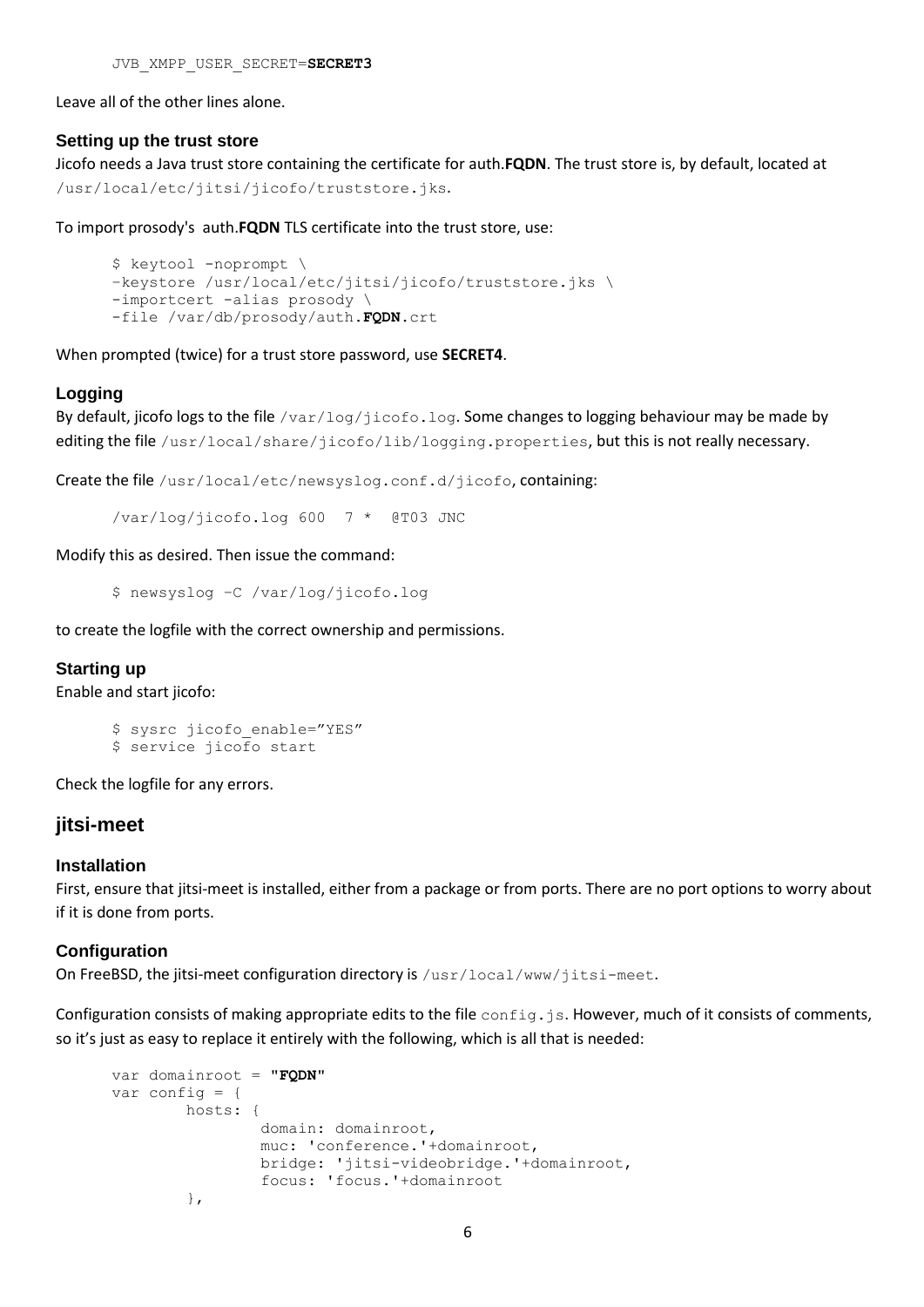JVB\_XMPP\_USER\_SECRET=**SECRET3**

Leave all of the other lines alone.

#### **Setting up the trust store**

Jicofo needs a Java trust store containing the certificate for auth.**FQDN**. The trust store is, by default, located at /usr/local/etc/jitsi/jicofo/truststore.jks.

To import prosody's auth.**FQDN** TLS certificate into the trust store, use:

```
$ keytool -noprompt \
–keystore /usr/local/etc/jitsi/jicofo/truststore.jks \
-importcert -alias prosody \
-file /var/db/prosody/auth.FQDN.crt
```
When prompted (twice) for a trust store password, use **SECRET4**.

#### **Logging**

By default, jicofo logs to the file  $/var/log/ijcofo, log.$  Some changes to logging behaviour may be made by editing the file /usr/local/share/jicofo/lib/logging.properties, but this is not really necessary.

Create the file /usr/local/etc/newsyslog.conf.d/jicofo, containing:

/var/log/jicofo.log 600 7 \* @T03 JNC

Modify this as desired. Then issue the command:

\$ newsyslog –C /var/log/jicofo.log

to create the logfile with the correct ownership and permissions.

#### **Starting up**

Enable and start jicofo:

```
$ sysrc jicofo enable="YES"
$ service jicofo start
```
Check the logfile for any errors.

### **jitsi-meet**

#### **Installation**

First, ensure that jitsi-meet is installed, either from a package or from ports. There are no port options to worry about if it is done from ports.

#### **Configuration**

On FreeBSD, the jitsi-meet configuration directory is /usr/local/www/jitsi-meet.

Configuration consists of making appropriate edits to the file  $confia.is$ . However, much of it consists of comments, so it's just as easy to replace it entirely with the following, which is all that is needed:

```
var domainroot = "FQDN"
var config = {
         hosts: {
                 domain: domainroot,
                 muc: 'conference.'+domainroot,
                 bridge: 'jitsi-videobridge.'+domainroot,
                 focus: 'focus.'+domainroot
         },
```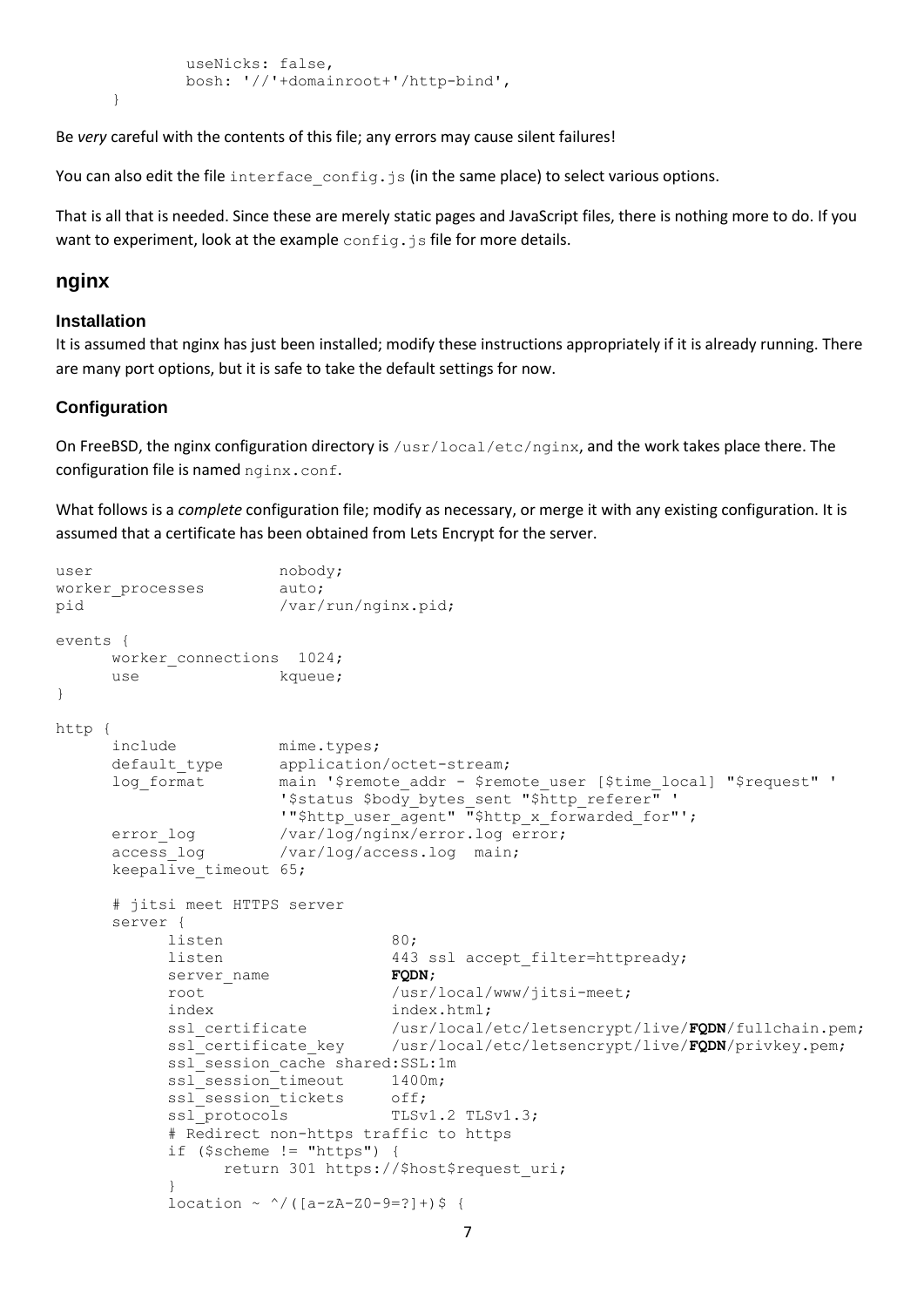```
 useNicks: false,
         bosh: '//'+domainroot+'/http-bind',
}
```
Be *very* careful with the contents of this file; any errors may cause silent failures!

You can also edit the file interface  $\text{config.i}\$  is (in the same place) to select various options.

That is all that is needed. Since these are merely static pages and JavaScript files, there is nothing more to do. If you want to experiment, look at the example config.js file for more details.

### **nginx**

#### **Installation**

It is assumed that nginx has just been installed; modify these instructions appropriately if it is already running. There are many port options, but it is safe to take the default settings for now.

#### **Configuration**

On FreeBSD, the nginx configuration directory is /usr/local/etc/nginx, and the work takes place there. The configuration file is named nginx.conf.

What follows is a *complete* configuration file; modify as necessary, or merge it with any existing configuration. It is assumed that a certificate has been obtained from Lets Encrypt for the server.

```
user nobody;
worker processes auto:
pid /var/run/mainx.pdfevents {
     worker connections 1024;
     use kqueue;
}
http {
     include mime.types;
     default type application/octet-stream;
     log_format main '$remote_addr - $remote_user [$time_local] "$request" '
                      '$status $body bytes sent "$http referer" '
                     '"$http_user_agent" "$http_x_forwarded_for"';
     error log /var/log/nginx/error.log error;
     access log /var/log/access.log main;
     keepalive timeout 65;
     # jitsi meet HTTPS server
     server {
           listen 80;
           listen 443 ssl accept filter=httpready;
           server name FQDN;
           root /usr/local/www/jitsi-meet;
           index index.html;
           ssl_certificate /usr/local/etc/letsencrypt/live/FQDN/fullchain.pem;<br>ssl_certificate_key /usr/local/etc/letsencrypt/live/FQDN/privkey.pem;
                                 /usr/local/etc/letsencrypt/live/FQDN/privkey.pem;
           ssl_session_cache_shared:SSL:1m
           ssl<sup>S</sup>ession<sup>-</sup>timeout 1400m;
           ssl_session_tickets off;
           ssl protocols TLSv1.2 TLSv1.3;
           # Redirect non-https traffic to https
           if ($scheme != "https") {
                 return 301 https://$host$request_uri;
           } 
           location ~^{\wedge}/([a-zA-Z0-9=?]+)$ {
```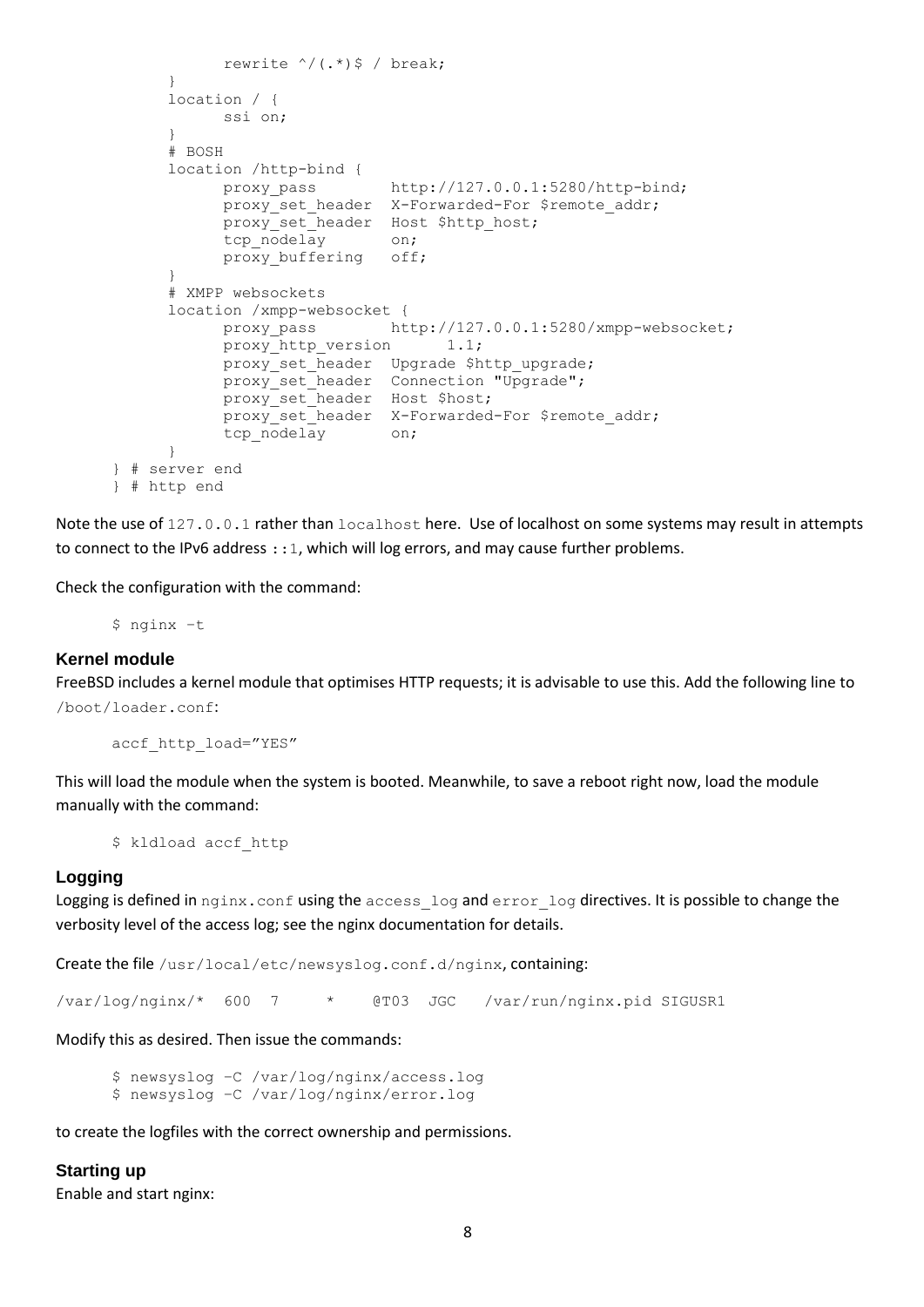```
rewrite \sqrt{(x^*)}\ / break;
     }
     location / {
           ssi on;
     }
     # BOSH
     location /http-bind {
          proxy pass http://127.0.0.1:5280/http-bind;
           proxy set header X-Forwarded-For $remote addr;
           proxy_set_header Host $http_host;
           tcp_nodelay on;
           proxy_buffering off;
     }
     # XMPP websockets
     location /xmpp-websocket {
           proxy_pass http://127.0.0.1:5280/xmpp-websocket;
           proxy http version 1.1;
           proxy set header Upgrade $http upgrade;
           proxy set header Connection "Upgrade";
           proxy set header Host $host;
           proxy set header X-Forwarded-For $remote addr;
           tcp_nodelay on;
     }
} # server end
} # http end
```
Note the use of 127.0.0.1 rather than localhost here. Use of localhost on some systems may result in attempts to connect to the IPv6 address : : 1, which will log errors, and may cause further problems.

Check the configuration with the command:

\$ nginx –t

#### **Kernel module**

FreeBSD includes a kernel module that optimises HTTP requests; it is advisable to use this. Add the following line to /boot/loader.conf:

accf http load="YES"

This will load the module when the system is booted. Meanwhile, to save a reboot right now, load the module manually with the command:

\$ kldload accf http

#### **Logging**

Logging is defined in nginx.conf using the access log and error log directives. It is possible to change the verbosity level of the access log; see the nginx documentation for details.

Create the file /usr/local/etc/newsyslog.conf.d/nginx, containing:

/var/log/nginx/\* 600 7 \* @T03 JGC /var/run/nginx.pid SIGUSR1

Modify this as desired. Then issue the commands:

\$ newsyslog –C /var/log/nginx/access.log \$ newsyslog –C /var/log/nginx/error.log

to create the logfiles with the correct ownership and permissions.

**Starting up** Enable and start nginx: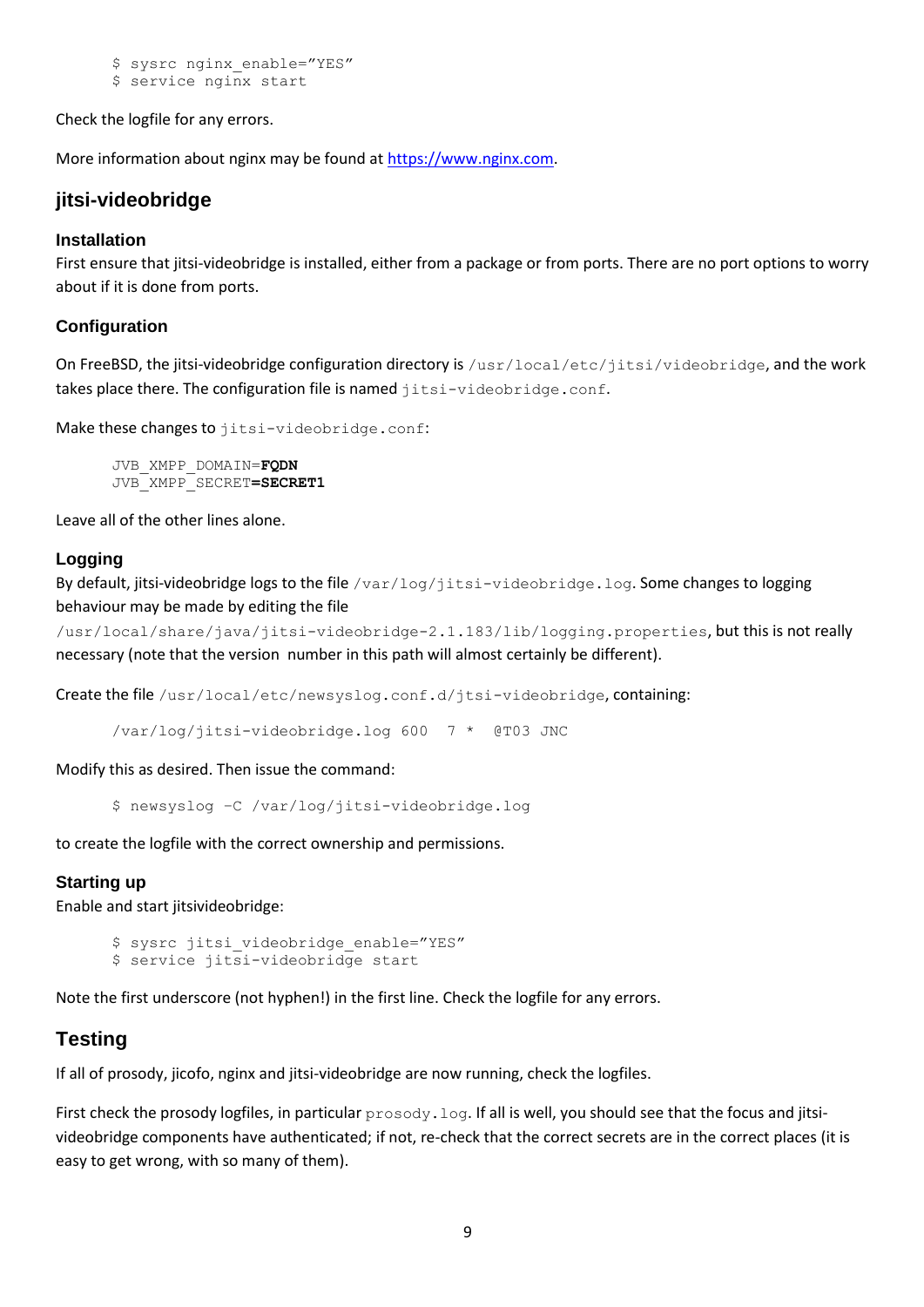\$ sysrc nginx enable="YES"

\$ service nginx start

Check the logfile for any errors.

More information about nginx may be found a[t https://www.nginx.com.](https://www.nginx.com/)

# **jitsi-videobridge**

### **Installation**

First ensure that jitsi-videobridge is installed, either from a package or from ports. There are no port options to worry about if it is done from ports.

### **Configuration**

On FreeBSD, the jitsi-videobridge configuration directory is /usr/local/etc/jitsi/videobridge, and the work takes place there. The configuration file is named jitsi-videobridge.conf.

Make these changes to jitsi-videobridge.conf:

JVB\_XMPP\_DOMAIN=**FQDN** JVB\_XMPP\_SECRET**=SECRET1**

Leave all of the other lines alone.

### **Logging**

By default, jitsi-videobridge logs to the file /var/log/jitsi-videobridge.log. Some changes to logging behaviour may be made by editing the file

/usr/local/share/java/jitsi-videobridge-2.1.183/lib/logging.properties, but this is not really necessary (note that the version number in this path will almost certainly be different).

Create the file /usr/local/etc/newsyslog.conf.d/jtsi-videobridge, containing:

/var/log/jitsi-videobridge.log 600 7 \* @T03 JNC

Modify this as desired. Then issue the command:

\$ newsyslog –C /var/log/jitsi-videobridge.log

to create the logfile with the correct ownership and permissions.

### **Starting up**

Enable and start jitsivideobridge:

```
$ sysrc jitsi videobridge enable="YES"
$ service jitsi-videobridge start
```
Note the first underscore (not hyphen!) in the first line. Check the logfile for any errors.

# **Testing**

If all of prosody, jicofo, nginx and jitsi-videobridge are now running, check the logfiles.

First check the prosody logfiles, in particular prosody. log. If all is well, you should see that the focus and jitsivideobridge components have authenticated; if not, re-check that the correct secrets are in the correct places (it is easy to get wrong, with so many of them).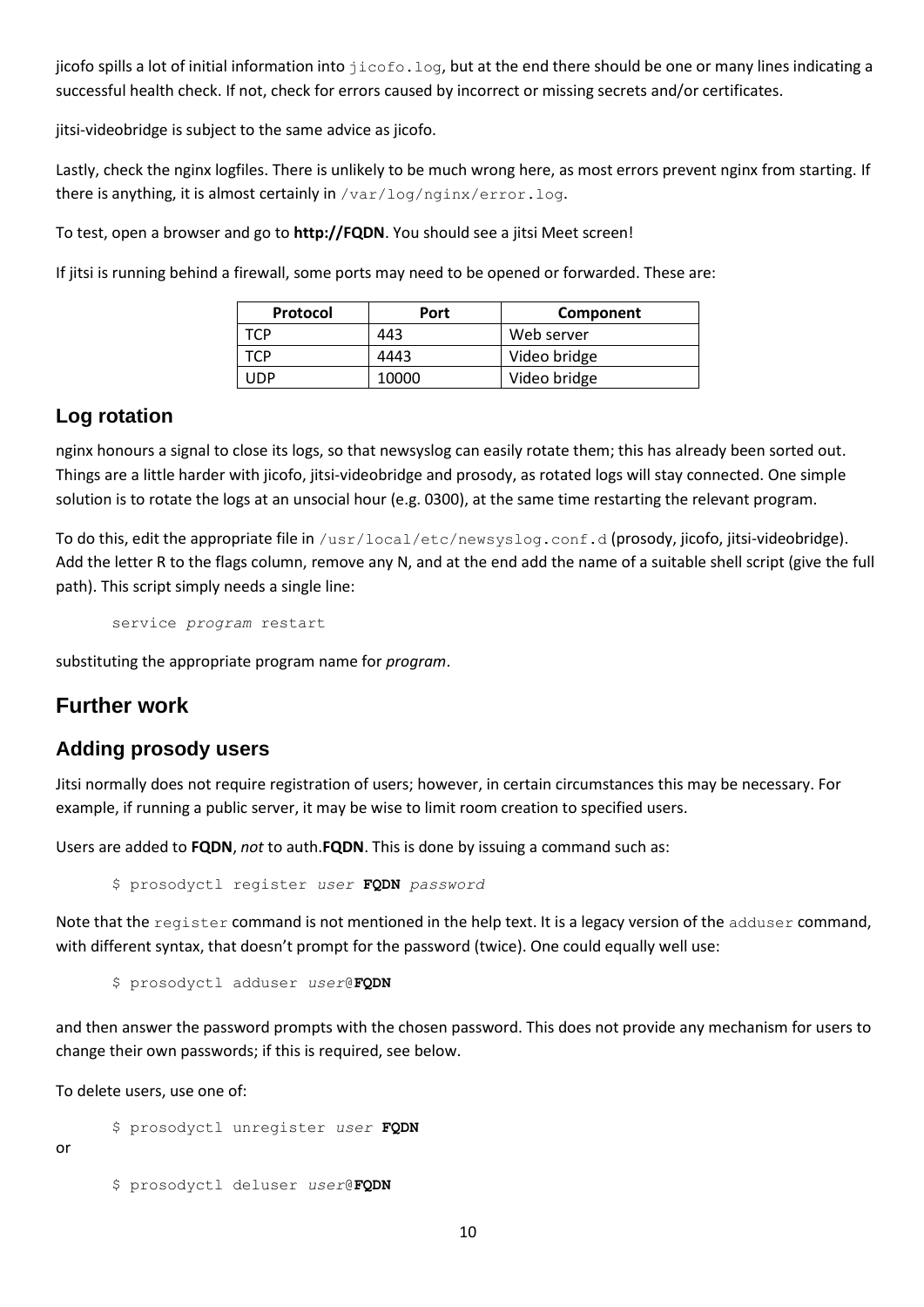jicofo spills a lot of initial information into  $\text{jicofo.log}$ , but at the end there should be one or many lines indicating a successful health check. If not, check for errors caused by incorrect or missing secrets and/or certificates.

jitsi-videobridge is subject to the same advice as jicofo.

Lastly, check the nginx logfiles. There is unlikely to be much wrong here, as most errors prevent nginx from starting. If there is anything, it is almost certainly in /var/log/nginx/error.log.

To test, open a browser and go to **http://FQDN**. You should see a jitsi Meet screen!

If jitsi is running behind a firewall, some ports may need to be opened or forwarded. These are:

| Protocol | Port  | Component    |
|----------|-------|--------------|
| .CD      | 443   | Web server   |
| rcp      | 4443  | Video bridge |
| JDP      | 10000 | Video bridge |

## **Log rotation**

nginx honours a signal to close its logs, so that newsyslog can easily rotate them; this has already been sorted out. Things are a little harder with jicofo, jitsi-videobridge and prosody, as rotated logs will stay connected. One simple solution is to rotate the logs at an unsocial hour (e.g. 0300), at the same time restarting the relevant program.

To do this, edit the appropriate file in /usr/local/etc/newsyslog.conf.d (prosody, jicofo, jitsi-videobridge). Add the letter R to the flags column, remove any N, and at the end add the name of a suitable shell script (give the full path). This script simply needs a single line:

service *program* restart

substituting the appropriate program name for *program*.

# **Further work**

## **Adding prosody users**

Jitsi normally does not require registration of users; however, in certain circumstances this may be necessary. For example, if running a public server, it may be wise to limit room creation to specified users.

Users are added to **FQDN**, *not* to auth.**FQDN**. This is done by issuing a command such as:

\$ prosodyctl register *user* **FQDN** *password*

Note that the register command is not mentioned in the help text. It is a legacy version of the adduser command, with different syntax, that doesn't prompt for the password (twice). One could equally well use:

```
$ prosodyctl adduser user@FQDN
```
and then answer the password prompts with the chosen password. This does not provide any mechanism for users to change their own passwords; if this is required, see below.

To delete users, use one of:

\$ prosodyctl unregister *user* **FQDN**

or

\$ prosodyctl deluser *user*@**FQDN**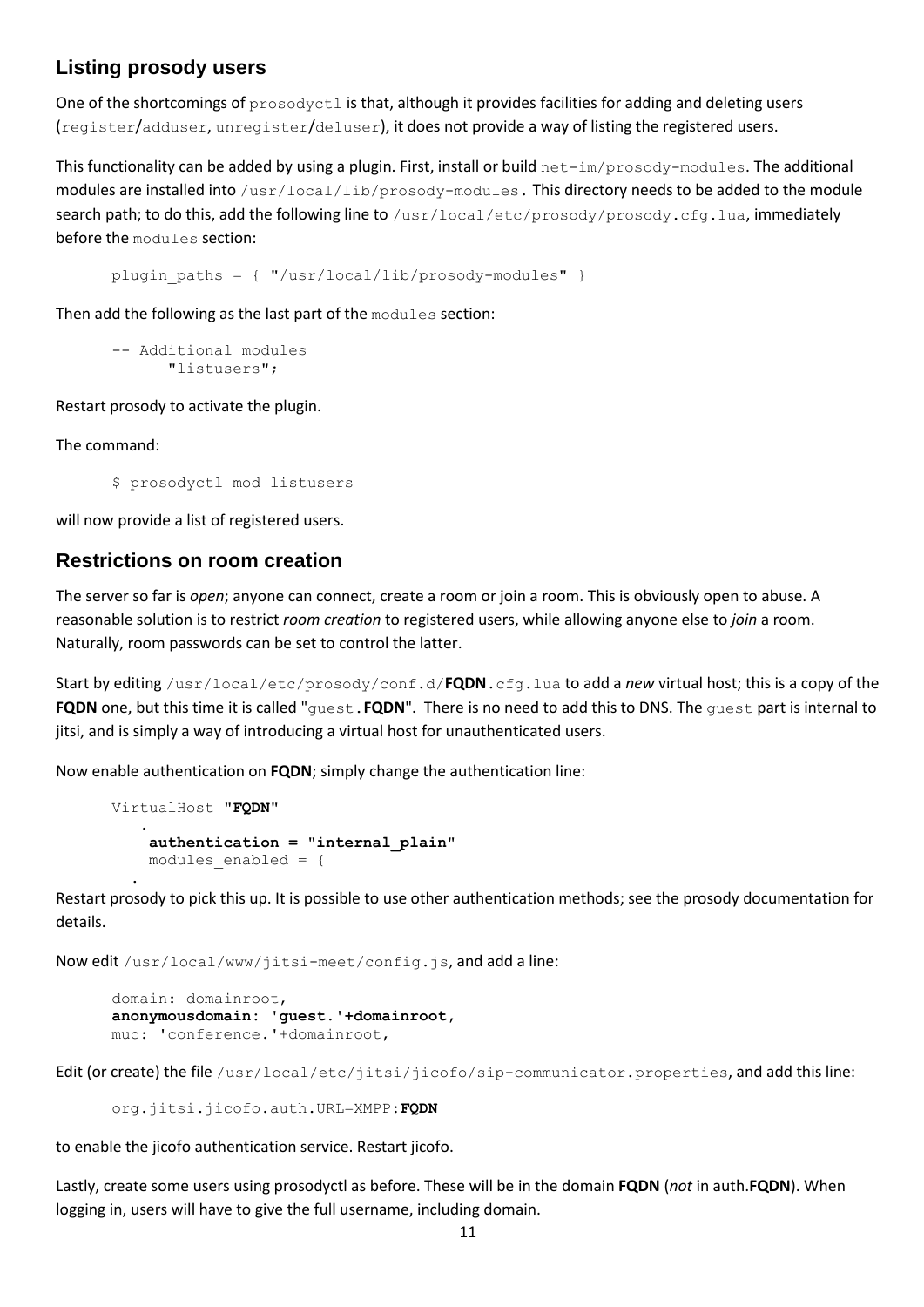# **Listing prosody users**

One of the shortcomings of prosodyctl is that, although it provides facilities for adding and deleting users (register/adduser, unregister/deluser), it does not provide a way of listing the registered users.

This functionality can be added by using a plugin. First, install or build net-im/prosody-modules. The additional modules are installed into /usr/local/lib/prosody-modules. This directory needs to be added to the module search path; to do this, add the following line to /usr/local/etc/prosody/prosody.cfg.lua, immediately before the modules section:

plugin paths =  $\{$  "/usr/local/lib/prosody-modules" }

Then add the following as the last part of the modules section:

```
-- Additional modules
     "listusers";
```
Restart prosody to activate the plugin.

The command:

\$ prosodyctl mod\_listusers

will now provide a list of registered users.

### **Restrictions on room creation**

The server so far is *open*; anyone can connect, create a room or join a room. This is obviously open to abuse. A reasonable solution is to restrict *room creation* to registered users, while allowing anyone else to *join* a room. Naturally, room passwords can be set to control the latter.

Start by editing /usr/local/etc/prosody/conf.d/**FQDN**.cfg.lua to add a *new* virtual host; this is a copy of the **FQDN** one, but this time it is called "guest.**FQDN**". There is no need to add this to DNS. The guest part is internal to jitsi, and is simply a way of introducing a virtual host for unauthenticated users.

Now enable authentication on **FQDN**; simply change the authentication line:

```
VirtualHost "FQDN"
 .
    authentication = "internal_plain"
   modules enabled = \{ .
```
Restart prosody to pick this up. It is possible to use other authentication methods; see the prosody documentation for details.

Now edit /usr/local/www/jitsi-meet/config.js, and add a line:

```
domain: domainroot,
anonymousdomain: 'guest.'+domainroot,
muc: 'conference.'+domainroot,
```
Edit (or create) the file /usr/local/etc/jitsi/jicofo/sip-communicator.properties, and add this line:

```
org.jitsi.jicofo.auth.URL=XMPP:FQDN
```
to enable the jicofo authentication service. Restart jicofo.

Lastly, create some users using prosodyctl as before. These will be in the domain **FQDN** (*not* in auth.**FQDN**). When logging in, users will have to give the full username, including domain.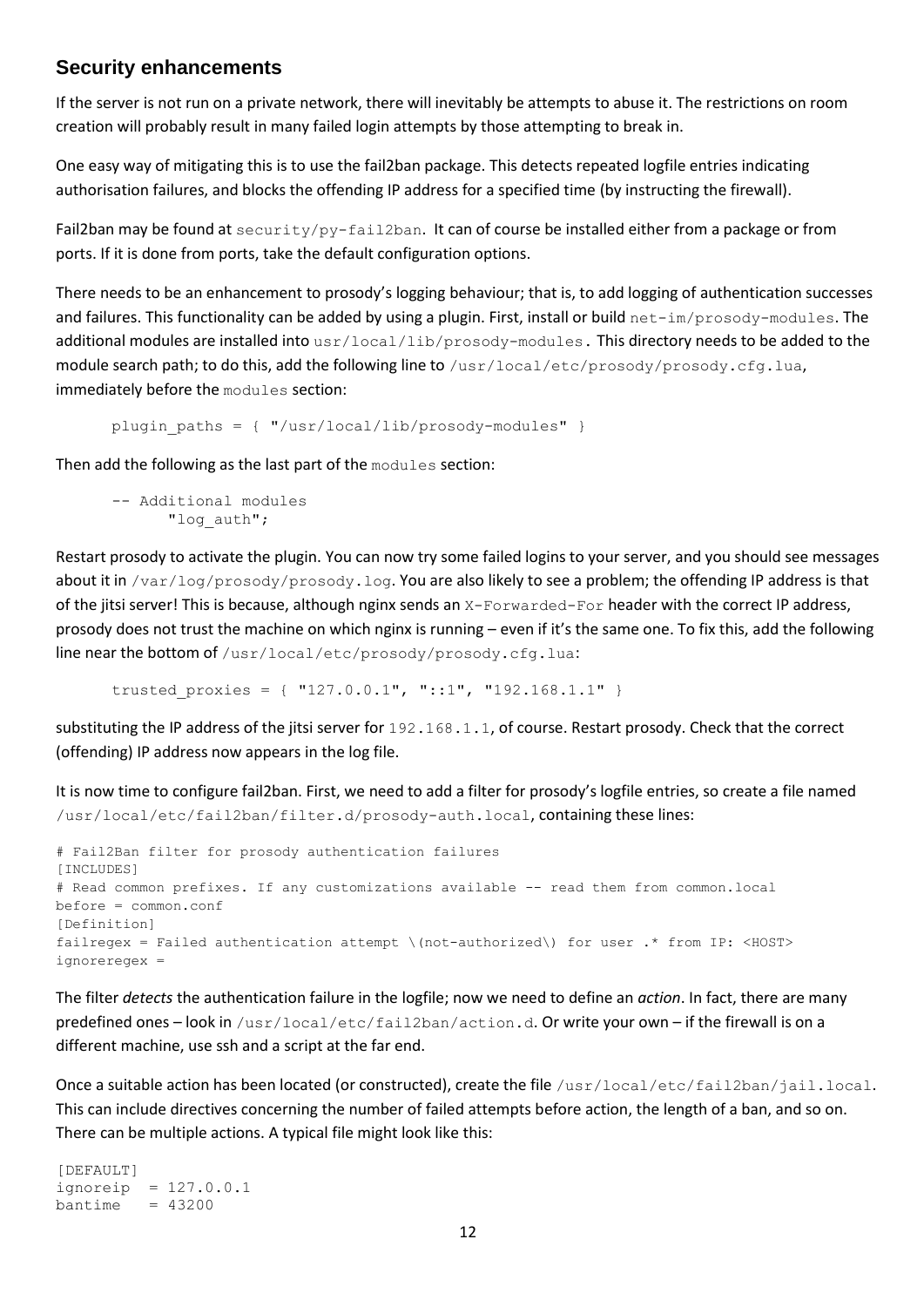### **Security enhancements**

If the server is not run on a private network, there will inevitably be attempts to abuse it. The restrictions on room creation will probably result in many failed login attempts by those attempting to break in.

One easy way of mitigating this is to use the fail2ban package. This detects repeated logfile entries indicating authorisation failures, and blocks the offending IP address for a specified time (by instructing the firewall).

Fail2ban may be found at security/py-fail2ban. It can of course be installed either from a package or from ports. If it is done from ports, take the default configuration options.

There needs to be an enhancement to prosody's logging behaviour; that is, to add logging of authentication successes and failures. This functionality can be added by using a plugin. First, install or build net-im/prosody-modules. The additional modules are installed into  $usr/local/lib/prosody-modules$ . This directory needs to be added to the module search path; to do this, add the following line to /usr/local/etc/prosody/prosody.cfg.lua, immediately before the modules section:

```
plugin paths = \{ "/usr/local/lib/prosody-modules" \}
```
Then add the following as the last part of the modules section:

```
-- Additional modules
      "log_auth";
```
Restart prosody to activate the plugin. You can now try some failed logins to your server, and you should see messages about it in /var/log/prosody/prosody.log. You are also likely to see a problem; the offending IP address is that of the jitsi server! This is because, although nginx sends an X-Forwarded-For header with the correct IP address, prosody does not trust the machine on which nginx is running – even if it's the same one. To fix this, add the following line near the bottom of /usr/local/etc/prosody/prosody.cfg.lua:

trusted proxies = { "127.0.0.1", "::1", "192.168.1.1" }

substituting the IP address of the jitsi server for 192.168.1.1, of course. Restart prosody. Check that the correct (offending) IP address now appears in the log file.

It is now time to configure fail2ban. First, we need to add a filter for prosody's logfile entries, so create a file named /usr/local/etc/fail2ban/filter.d/prosody-auth.local, containing these lines:

```
# Fail2Ban filter for prosody authentication failures
[INCLUDES]
# Read common prefixes. If any customizations available -- read them from common.local
before = common.conf
[Definition]
failregex = Failed authentication attempt \(not-authorized\) for user .* from IP: <HOST>
ignoreregex =
```
The filter *detects* the authentication failure in the logfile; now we need to define an *action*. In fact, there are many predefined ones – look in /usr/local/etc/fail2ban/action.d. Or write your own – if the firewall is on a different machine, use ssh and a script at the far end.

Once a suitable action has been located (or constructed), create the file /usr/local/etc/fail2ban/jail.local. This can include directives concerning the number of failed attempts before action, the length of a ban, and so on. There can be multiple actions. A typical file might look like this:

[DEFAULT] ignoreip = 127.0.0.1  $bantime = 43200$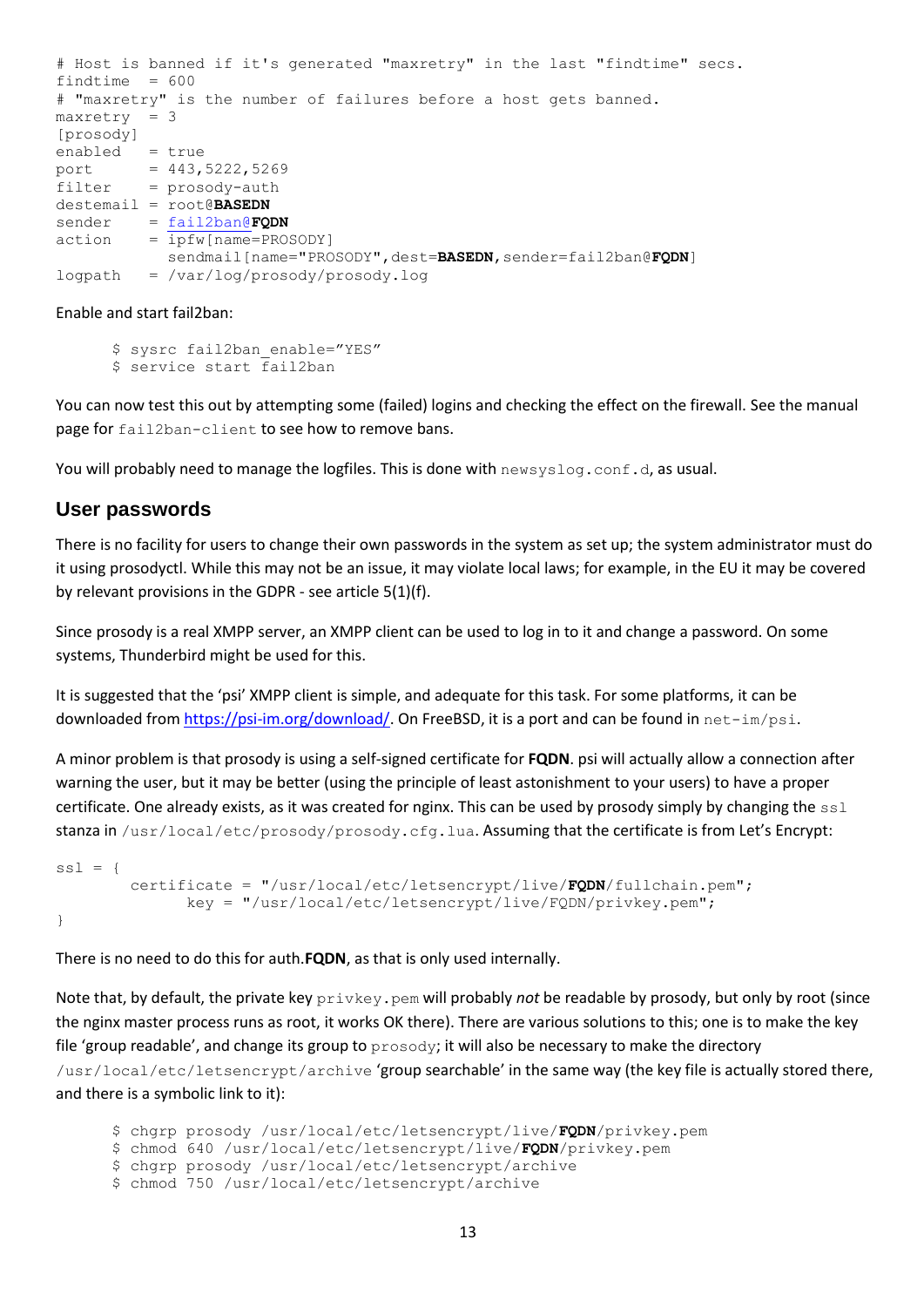```
# Host is banned if it's generated "maxretry" in the last "findtime" secs.
findtime = 600# "maxretry" is the number of failures before a host gets banned.
maxretry = 3[prosody]
enabeled = trueport = 443,5222,5269filter = prosody-auth
destemail = root@BASEDN
sender = fail2ban@FQDN
action = ipfw[name=PROSODY]
          sendmail[name="PROSODY",dest=BASEDN,sender=fail2ban@FODN]
logpath = /var/log/prosody/prosody.log
```
Enable and start fail2ban:

\$ sysrc fail2ban enable="YES" \$ service start fail2ban

You can now test this out by attempting some (failed) logins and checking the effect on the firewall. See the manual page for fail2ban-client to see how to remove bans.

You will probably need to manage the logfiles. This is done with  $newsyslog.comf.d.$  as usual.

#### **User passwords**

There is no facility for users to change their own passwords in the system as set up; the system administrator must do it using prosodyctl. While this may not be an issue, it may violate local laws; for example, in the EU it may be covered by relevant provisions in the GDPR - see article 5(1)(f).

Since prosody is a real XMPP server, an XMPP client can be used to log in to it and change a password. On some systems, Thunderbird might be used for this.

It is suggested that the 'psi' XMPP client is simple, and adequate for this task. For some platforms, it can be downloaded fro[m https://psi-im.org/download/.](https://psi-im.org/download/) On FreeBSD, it is a port and can be found in net-im/psi.

A minor problem is that prosody is using a self-signed certificate for **FQDN**. psi will actually allow a connection after warning the user, but it may be better (using the principle of least astonishment to your users) to have a proper certificate. One already exists, as it was created for nginx. This can be used by prosody simply by changing the  $\text{ss1}$ stanza in /usr/local/etc/prosody/prosody.cfg.lua. Assuming that the certificate is from Let's Encrypt:

```
ss1 = { certificate = "/usr/local/etc/letsencrypt/live/FQDN/fullchain.pem";
               key = "/usr/local/etc/letsencrypt/live/FQDN/privkey.pem";
}
```
There is no need to do this for auth.**FQDN**, as that is only used internally.

Note that, by default, the private key privkey.pem will probably *not* be readable by prosody, but only by root (since the nginx master process runs as root, it works OK there). There are various solutions to this; one is to make the key file 'group readable', and change its group to prosody; it will also be necessary to make the directory /usr/local/etc/letsencrypt/archive 'group searchable' in the same way (the key file is actually stored there, and there is a symbolic link to it):

\$ chgrp prosody /usr/local/etc/letsencrypt/live/**FQDN**/privkey.pem

```
$ chmod 640 /usr/local/etc/letsencrypt/live/FQDN/privkey.pem
```

```
$ chgrp prosody /usr/local/etc/letsencrypt/archive
```

```
$ chmod 750 /usr/local/etc/letsencrypt/archive
```